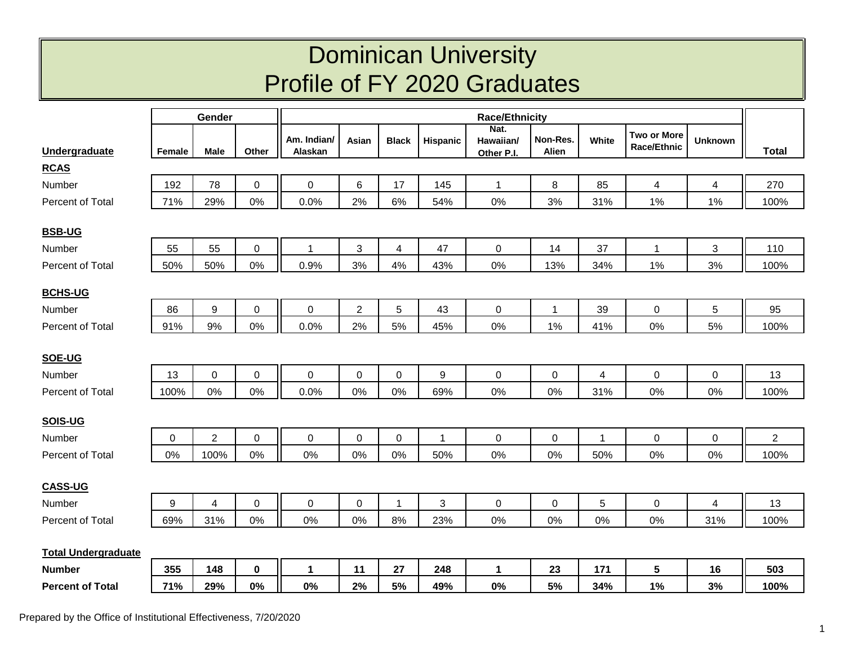## Dominican University Profile of FY 2020 Graduates

|                            |                  | Gender         |                  | <b>Race/Ethnicity</b>  |                |              |              |                                 |                   |                         |                                   |                |                |
|----------------------------|------------------|----------------|------------------|------------------------|----------------|--------------|--------------|---------------------------------|-------------------|-------------------------|-----------------------------------|----------------|----------------|
| Undergraduate              | Female           | <b>Male</b>    | Other            | Am. Indian/<br>Alaskan | Asian          | <b>Black</b> | Hispanic     | Nat.<br>Hawaiian/<br>Other P.I. | Non-Res.<br>Alien | White                   | <b>Two or More</b><br>Race/Ethnic | <b>Unknown</b> | <b>Total</b>   |
| <b>RCAS</b>                |                  |                |                  |                        |                |              |              |                                 |                   |                         |                                   |                |                |
| Number                     | 192              | 78             | 0                | 0                      | 6              | 17           | 145          | $\mathbf 1$                     | $\,8\,$           | 85                      | 4                                 | $\overline{4}$ | 270            |
| Percent of Total           | 71%              | 29%            | 0%               | 0.0%                   | 2%             | 6%           | 54%          | 0%                              | 3%                | 31%                     | 1%                                | 1%             | 100%           |
| <b>BSB-UG</b>              |                  |                |                  |                        |                |              |              |                                 |                   |                         |                                   |                |                |
| Number                     | 55               | 55             | $\mathbf 0$      | $\mathbf{1}$           | $\mathfrak{S}$ | 4            | 47           | $\mathbf 0$                     | 14                | 37                      | $\mathbf{1}$                      | 3              | 110            |
| Percent of Total           | 50%              | 50%            | $0\%$            | 0.9%                   | 3%             | 4%           | 43%          | $0\%$                           | 13%               | 34%                     | 1%                                | 3%             | 100%           |
|                            |                  |                |                  |                        |                |              |              |                                 |                   |                         |                                   |                |                |
| <b>BCHS-UG</b>             |                  |                |                  |                        |                |              |              |                                 |                   |                         |                                   |                |                |
| Number                     | 86               | 9              | $\pmb{0}$        | $\mathbf 0$            | $\overline{c}$ | 5            | 43           | $\mathsf 0$                     | $\overline{1}$    | 39                      | $\boldsymbol{0}$                  | 5              | 95             |
| Percent of Total           | 91%              | 9%             | 0%               | 0.0%                   | 2%             | 5%           | 45%          | $0\%$                           | 1%                | 41%                     | 0%                                | 5%             | 100%           |
|                            |                  |                |                  |                        |                |              |              |                                 |                   |                         |                                   |                |                |
| SOE-UG                     |                  |                |                  |                        |                |              |              | $\mathbf 0$                     |                   |                         |                                   |                |                |
| Number                     | 13               | $\mathsf 0$    | $\boldsymbol{0}$ | $\mathbf 0$            | $\pmb{0}$      | 0            | 9            |                                 | $\pmb{0}$         | $\overline{\mathbf{4}}$ | $\boldsymbol{0}$                  | $\mathbf 0$    | 13             |
| Percent of Total           | 100%             | 0%             | 0%               | 0.0%                   | 0%             | 0%           | 69%          | $0\%$                           | 0%                | 31%                     | 0%                                | 0%             | 100%           |
| SOIS-UG                    |                  |                |                  |                        |                |              |              |                                 |                   |                         |                                   |                |                |
| Number                     | 0                | $\overline{c}$ | $\mathbf 0$      | $\pmb{0}$              | $\mathbf 0$    | 0            | $\mathbf{1}$ | $\mathbf 0$                     | $\pmb{0}$         | $\mathbf{1}$            | 0                                 | 0              | $\overline{2}$ |
| Percent of Total           | 0%               | 100%           | 0%               | 0%                     | 0%             | 0%           | 50%          | $0\%$                           | $0\%$             | 50%                     | 0%                                | 0%             | 100%           |
|                            |                  |                |                  |                        |                |              |              |                                 |                   |                         |                                   |                |                |
| <b>CASS-UG</b>             |                  |                |                  |                        |                |              |              |                                 |                   |                         |                                   |                |                |
| Number                     | $\boldsymbol{9}$ | 4              | $\mathbf 0$      | $\pmb{0}$              | $\mathbf 0$    | 1            | 3            | $\mathsf 0$                     | $\pmb{0}$         | 5                       | $\mathbf 0$                       | $\overline{4}$ | 13             |
| Percent of Total           | 69%              | 31%            | 0%               | 0%                     | 0%             | 8%           | 23%          | 0%                              | 0%                | 0%                      | 0%                                | 31%            | 100%           |
| <b>Total Undergraduate</b> |                  |                |                  |                        |                |              |              |                                 |                   |                         |                                   |                |                |
| <b>Number</b>              | 355              | 148            | $\mathbf 0$      | 1                      | 11             | 27           | 248          | $\mathbf{1}$                    | 23                | 171                     | 5                                 | 16             | 503            |
| <b>Percent of Total</b>    | 71%              | 29%            | 0%               | 0%                     | 2%             | 5%           | 49%          | 0%                              | 5%                | 34%                     | 1%                                | 3%             | 100%           |
|                            |                  |                |                  |                        |                |              |              |                                 |                   |                         |                                   |                |                |